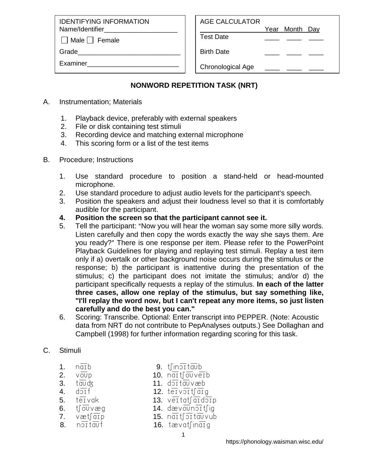IDENTIFYING INFORMATION Name/Identifier

 $\Box$  Male  $\Box$  Female

Grade

Examiner\_\_\_\_\_\_\_\_\_\_\_\_\_\_\_\_\_\_\_\_\_\_\_\_\_

Year Month Day

Test Date \_\_\_\_ \_\_\_\_ \_\_\_\_

Birth Date

Chronological Age

## **NONWORD REPETITION TASK (NRT)**

- A. Instrumentation; Materials
	- 1. Playback device, preferably with external speakers
	- 2. File or disk containing test stimuli
	- 3. Recording device and matching external microphone
	- 4. This scoring form or a list of the test items
- B. Procedure; Instructions
	- 1. Use standard procedure to position a stand-held or head-mounted microphone.
	- 2. Use standard procedure to adjust audio levels for the participant's speech.
	- 3. Position the speakers and adjust their loudness level so that it is comfortably audible for the participant.
	- **4. Position the screen so that the participant cannot see it.**
	- 5. Tell the participant: "Now you will hear the woman say some more silly words. Listen carefully and then copy the words exactly the way she says them. Are you ready?" There is one response per item. Please refer to the PowerPoint Playback Guidelines for playing and replaying test stimuli. Replay a test item only if a) overtalk or other background noise occurs during the stimulus or the response; b) the participant is inattentive during the presentation of the stimulus; c) the participant does not imitate the stimulus; and/or d) the participant specifically requests a replay of the stimulus. **In each of the latter three cases, allow one replay of the stimulus, but say something like, "I'll replay the word now, but I can't repeat any more items, so just listen carefully and do the best you can."**
	- 6. Scoring: Transcribe. Optional: Enter transcript into PEPPER. (Note: Acoustic data from NRT do not contribute to PepAnalyses outputs.) See Dollaghan and Campbell (1998) for further information regarding scoring for this task.

## C. Stimuli

- 1.  $n\overline{a}$  1  $\overline{b}$  9.  $t \overline{b}$  1  $\overline{b}$
- 2. voup 10. naitfouveib
- $3.$  tauds  $11.$  doitauvæb
- 
- 4.  $d\overline{ol}$ f 12. t $\overline{e}$ iv $\overline{ol}$ t $\overline{li}$ g
- $5.$  tervak 13. vertatfard $\overline{3}$ p 6.  $t\overline{0v}$ væg 14. dæv $\overline{ov}$ n $\overline{01}$ t $\overline{1}$ ig
- 
- 7.  $væt$  $\sqrt{a}$ rp 15. neit $\sqrt{b}$ rtel $\sqrt{v}$ ub
- 8.  $n \overline{\text{out}}$  16. t $\text{av}$  16. t $\text{av}$